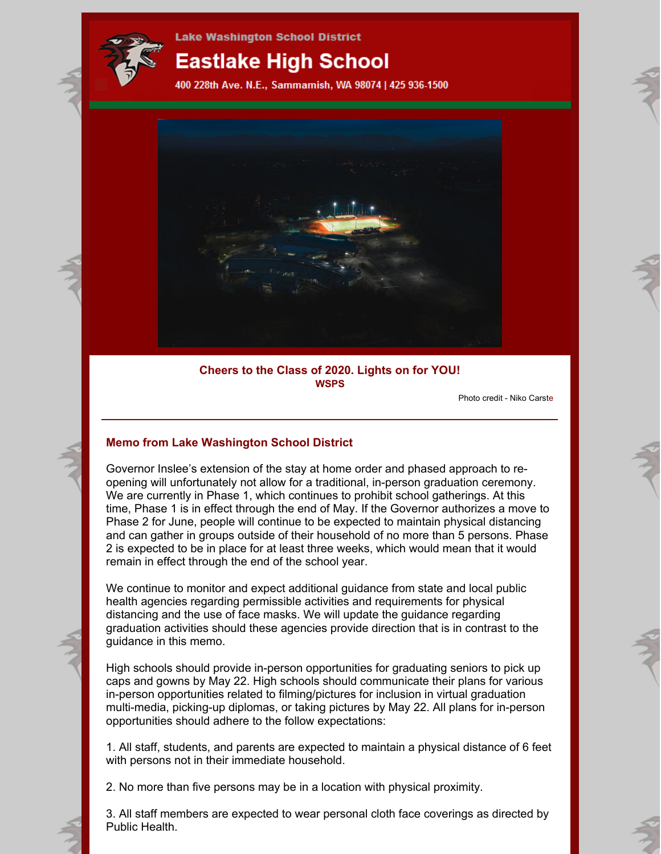

# **Eastlake High School**

400 228th Ave. N.E., Sammamish, WA 98074 | 425 936-1500



# **Cheers to the Class of 2020. Lights on for YOU! WSPS**

Photo credit - Niko Carste

# **Memo from Lake Washington School District**

Governor Inslee's extension of the stay at home order and phased approach to reopening will unfortunately not allow for a traditional, in-person graduation ceremony. We are currently in Phase 1, which continues to prohibit school gatherings. At this time, Phase 1 is in effect through the end of May. If the Governor authorizes a move to Phase 2 for June, people will continue to be expected to maintain physical distancing and can gather in groups outside of their household of no more than 5 persons. Phase 2 is expected to be in place for at least three weeks, which would mean that it would remain in effect through the end of the school year.

We continue to monitor and expect additional guidance from state and local public health agencies regarding permissible activities and requirements for physical distancing and the use of face masks. We will update the guidance regarding graduation activities should these agencies provide direction that is in contrast to the guidance in this memo.

High schools should provide in-person opportunities for graduating seniors to pick up caps and gowns by May 22. High schools should communicate their plans for various in-person opportunities related to filming/pictures for inclusion in virtual graduation multi-media, picking-up diplomas, or taking pictures by May 22. All plans for in-person opportunities should adhere to the follow expectations:

1. All staff, students, and parents are expected to maintain a physical distance of 6 feet with persons not in their immediate household.

2. No more than five persons may be in a location with physical proximity.

3. All staff members are expected to wear personal cloth face coverings as directed by Public Health.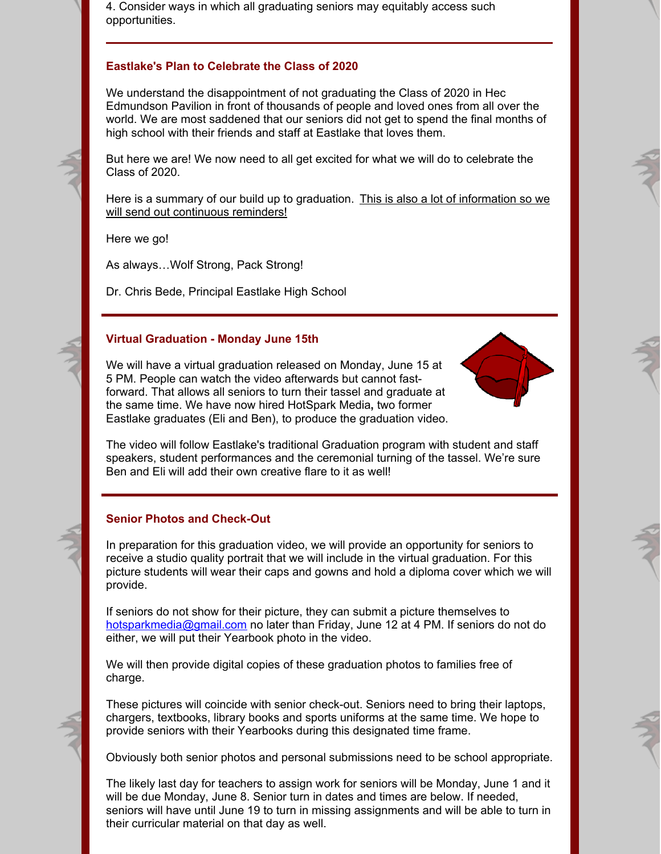4. Consider ways in which all graduating seniors may equitably access such opportunities.

# **Eastlake's Plan to Celebrate the Class of 2020**

We understand the disappointment of not graduating the Class of 2020 in Hec Edmundson Pavilion in front of thousands of people and loved ones from all over the world. We are most saddened that our seniors did not get to spend the final months of high school with their friends and staff at Eastlake that loves them.

But here we are! We now need to all get excited for what we will do to celebrate the Class of 2020.

Here is a summary of our build up to graduation. This is also a lot of information so we will send out continuous reminders!

Here we go!

As always…Wolf Strong, Pack Strong!

Dr. Chris Bede, Principal Eastlake High School

#### **Virtual Graduation - Monday June 15th**

We will have a virtual graduation released on Monday, June 15 at 5 PM. People can watch the video afterwards but cannot fastforward. That allows all seniors to turn their tassel and graduate at the same time. We have now hired HotSpark Media**,** two former Eastlake graduates (Eli and Ben), to produce the graduation video.



The video will follow Eastlake's traditional Graduation program with student and staff speakers, student performances and the ceremonial turning of the tassel. We're sure Ben and Eli will add their own creative flare to it as well!

#### **Senior Photos and Check-Out**

In preparation for this graduation video, we will provide an opportunity for seniors to receive a studio quality portrait that we will include in the virtual graduation. For this picture students will wear their caps and gowns and hold a diploma cover which we will provide.

If seniors do not show for their picture, they can submit a picture themselves to [hotsparkmedia@gmail.com](mailto:hotsparkmedia@gmail.com) no later than Friday, June 12 at 4 PM. If seniors do not do either, we will put their Yearbook photo in the video.

We will then provide digital copies of these graduation photos to families free of charge.

These pictures will coincide with senior check-out. Seniors need to bring their laptops, chargers, textbooks, library books and sports uniforms at the same time. We hope to provide seniors with their Yearbooks during this designated time frame.

Obviously both senior photos and personal submissions need to be school appropriate.

The likely last day for teachers to assign work for seniors will be Monday, June 1 and it will be due Monday, June 8. Senior turn in dates and times are below. If needed, seniors will have until June 19 to turn in missing assignments and will be able to turn in their curricular material on that day as well.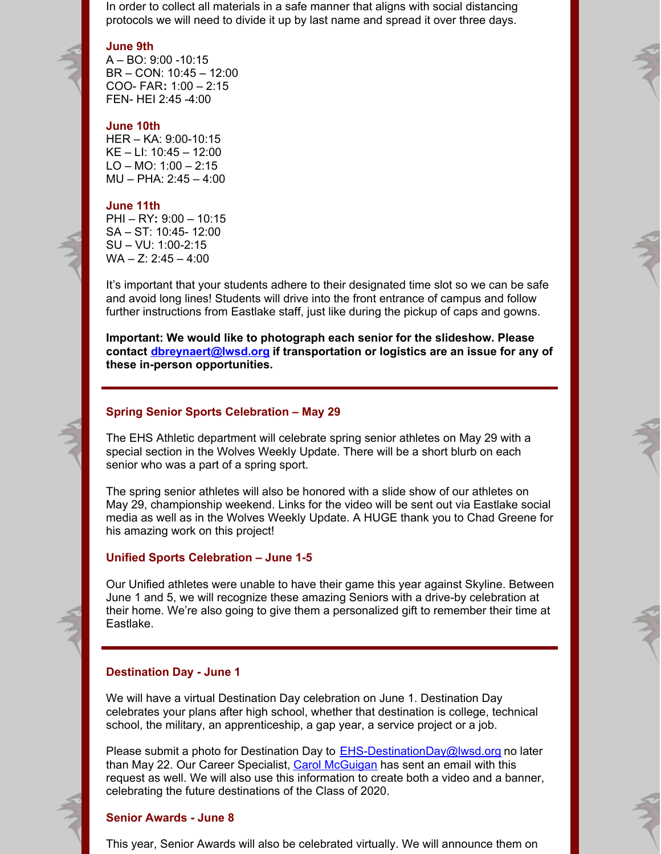In order to collect all materials in a safe manner that aligns with social distancing protocols we will need to divide it up by last name and spread it over three days.

#### **June 9th**

A – BO: 9:00 -10:15 BR – CON: 10:45 – 12:00 COO- FAR**:** 1:00 – 2:15 FEN- HEI 2:45 -4:00

#### **June 10th**

HER – KA: 9:00-10:15 KE – LI: 10:45 – 12:00 LO – MO:  $1:00 - 2:15$ MU – PHA: 2:45 – 4:00

#### **June 11th**

PHI – RY**:** 9:00 – 10:15 SA – ST: 10:45- 12:00 SU – VU: 1:00-2:15  $WA - Z: 2:45 - 4:00$ 

It's important that your students adhere to their designated time slot so we can be safe and avoid long lines! Students will drive into the front entrance of campus and follow further instructions from Eastlake staff, just like during the pickup of caps and gowns.

**Important: We would like to photograph each senior for the slideshow. Please contact [dbreynaert@lwsd.org](mailto:dbreynaert@lwsd.org) if transportation or logistics are an issue for any of these in-person opportunities.**

#### **Spring Senior Sports Celebration – May 29**

The EHS Athletic department will celebrate spring senior athletes on May 29 with a special section in the Wolves Weekly Update. There will be a short blurb on each senior who was a part of a spring sport.

The spring senior athletes will also be honored with a slide show of our athletes on May 29, championship weekend. Links for the video will be sent out via Eastlake social media as well as in the Wolves Weekly Update. A HUGE thank you to Chad Greene for his amazing work on this project!

#### **Unified Sports Celebration – June 1-5**

Our Unified athletes were unable to have their game this year against Skyline. Between June 1 and 5, we will recognize these amazing Seniors with a drive-by celebration at their home. We're also going to give them a personalized gift to remember their time at Eastlake.

#### **Destination Day - June 1**

We will have a virtual Destination Day celebration on June 1. Destination Day celebrates your plans after high school, whether that destination is college, technical school, the military, an apprenticeship, a gap year, a service project or a job.

Please submit a photo for Destination Day to  $E$ HS-DestinationDay@lwsd.org no later than May 22. Our Career Specialist, Carol [McGuigan](mailto:cmcguigan@lwsd.org) has sent an email with this request as well. We will also use this information to create both a video and a banner, celebrating the future destinations of the Class of 2020.

# **Senior Awards - June 8**

This year, Senior Awards will also be celebrated virtually. We will announce them on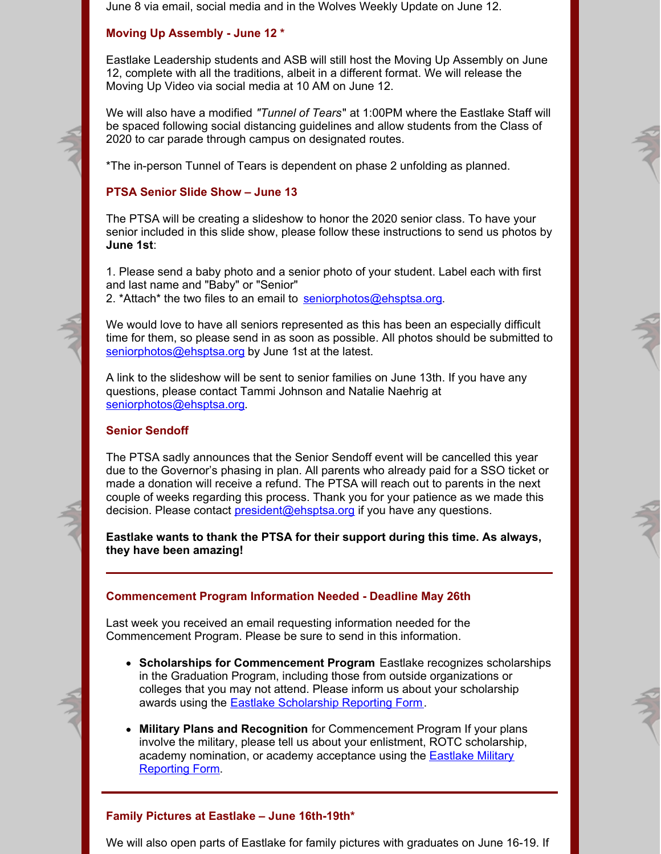June 8 via email, social media and in the Wolves Weekly Update on June 12.

# **Moving Up Assembly - June 12 \***

Eastlake Leadership students and ASB will still host the Moving Up Assembly on June 12, complete with all the traditions, albeit in a different format. We will release the Moving Up Video via social media at 10 AM on June 12.

We will also have a modified *"Tunnel of Tears*" at 1:00PM where the Eastlake Staff will be spaced following social distancing guidelines and allow students from the Class of 2020 to car parade through campus on designated routes.

\*The in-person Tunnel of Tears is dependent on phase 2 unfolding as planned.

# **PTSA Senior Slide Show – June 13**

The PTSA will be creating a slideshow to honor the 2020 senior class. To have your senior included in this slide show, please follow these instructions to send us photos by **June 1st**:

1. Please send a baby photo and a senior photo of your student. Label each with first and last name and "Baby" or "Senior" 2. \*Attach\* the two files to an email to [seniorphotos@ehsptsa.org](mailto:seniorphotos@ehsptsa.org).

We would love to have all seniors represented as this has been an especially difficult time for them, so please send in as soon as possible. All photos should be submitted to [seniorphotos@ehsptsa.org](mailto:seniorphotos@ehsptsa.org) by June 1st at the latest.

A link to the slideshow will be sent to senior families on June 13th. If you have any questions, please contact Tammi Johnson and Natalie Naehrig at [seniorphotos@ehsptsa.org](mailto:seniorphotos@ehsptsa.org).

# **Senior Sendoff**

The PTSA sadly announces that the Senior Sendoff event will be cancelled this year due to the Governor's phasing in plan. All parents who already paid for a SSO ticket or made a donation will receive a refund. The PTSA will reach out to parents in the next couple of weeks regarding this process. Thank you for your patience as we made this decision. Please contact [president@ehsptsa.org](mailto:president@ehsptsa.org) if you have any questions.

**Eastlake wants to thank the PTSA for their support during this time. As always, they have been amazing!**

# **Commencement Program Information Needed - Deadline May 26th**

Last week you received an email requesting information needed for the Commencement Program. Please be sure to send in this information.

- **Scholarships for Commencement Program** Eastlake recognizes scholarships in the Graduation Program, including those from outside organizations or colleges that you may not attend. Please inform us about your scholarship awards using the Eastlake [Scholarship](https://forms.office.com/Pages/ResponsePage.aspx?id=P2fUH5bfIUaGOKHYjEyF11cUua05KFhGmTiDGB_H0uJUQTVCMFlUUFdGVTNSNlBCSksxU0VYMUZGQS4u) Reporting Form.
- **Military Plans and Recognition** for Commencement Program If your plans involve the military, please tell us about your enlistment, ROTC scholarship, academy [nomination,](https://forms.office.com/Pages/ResponsePage.aspx?id=P2fUH5bfIUaGOKHYjEyF11cUua05KFhGmTiDGB_H0uJUMU44RVc0QTBOSDM2RFhXVVJXSUZSWU5QMC4u) or academy acceptance using the Eastlake Military Reporting Form.

# **Family Pictures at Eastlake – June 16th-19th\***

We will also open parts of Eastlake for family pictures with graduates on June 16-19. If